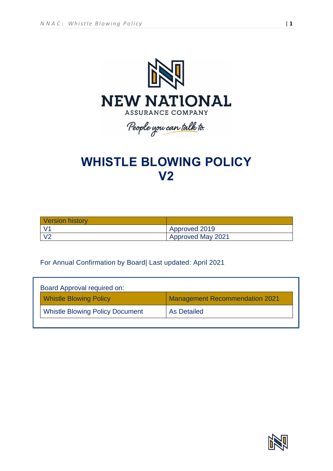

# **WHISTLE BLOWING POLICY V2**

| <b>Version history</b> |                   |
|------------------------|-------------------|
|                        | Approved 2019     |
|                        | Approved May 2021 |

## For Annual Confirmation by Board| Last updated: April 2021

| Board Approval required on: |                                        |                                       |  |  |
|-----------------------------|----------------------------------------|---------------------------------------|--|--|
|                             | <b>Whistle Blowing Policy</b>          | <b>Management Recommendation 2021</b> |  |  |
|                             | <b>Whistle Blowing Policy Document</b> | As Detailed                           |  |  |
|                             |                                        |                                       |  |  |



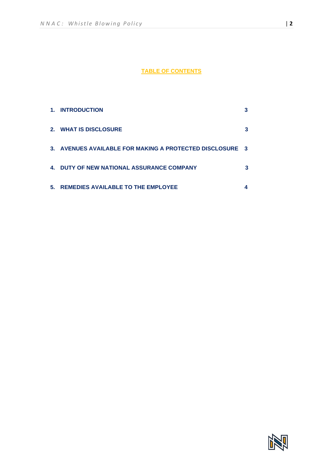### **TABLE OF CONTENTS**

| 1. | <b>INTRODUCTION</b>                                      |  |
|----|----------------------------------------------------------|--|
|    | 2. WHAT IS DISCLOSURE                                    |  |
|    | 3. AVENUES AVAILABLE FOR MAKING A PROTECTED DISCLOSURE 3 |  |
|    | 4. DUTY OF NEW NATIONAL ASSURANCE COMPANY                |  |
| 5. | <b>REMEDIES AVAILABLE TO THE EMPLOYEE</b>                |  |

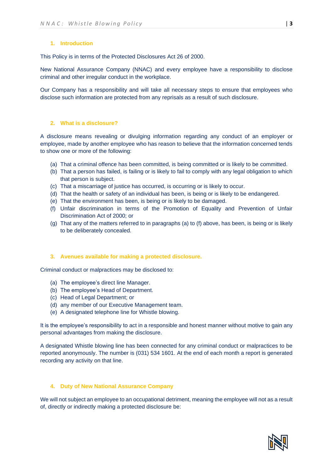#### **1. Introduction**

This Policy is in terms of the Protected Disclosures Act 26 of 2000.

New National Assurance Company (NNAC) and every employee have a responsibility to disclose criminal and other irregular conduct in the workplace.

Our Company has a responsibility and will take all necessary steps to ensure that employees who disclose such information are protected from any reprisals as a result of such disclosure.

#### **2. What is a disclosure?**

A disclosure means revealing or divulging information regarding any conduct of an employer or employee, made by another employee who has reason to believe that the information concerned tends to show one or more of the following:

- (a) That a criminal offence has been committed, is being committed or is likely to be committed.
- (b) That a person has failed, is failing or is likely to fail to comply with any legal obligation to which that person is subject.
- (c) That a miscarriage of justice has occurred, is occurring or is likely to occur.
- (d) That the health or safety of an individual has been, is being or is likely to be endangered.
- (e) That the environment has been, is being or is likely to be damaged.
- (f) Unfair discrimination in terms of the Promotion of Equality and Prevention of Unfair Discrimination Act of 2000; or
- (g) That any of the matters referred to in paragraphs (a) to (f) above, has been, is being or is likely to be deliberately concealed.

#### **3. Avenues available for making a protected disclosure.**

Criminal conduct or malpractices may be disclosed to:

- (a) The employee's direct line Manager.
- (b) The employee's Head of Department.
- (c) Head of Legal Department; or
- (d) any member of our Executive Management team.
- (e) A designated telephone line for Whistle blowing.

It is the employee's responsibility to act in a responsible and honest manner without motive to gain any personal advantages from making the disclosure.

A designated Whistle blowing line has been connected for any criminal conduct or malpractices to be reported anonymously. The number is (031) 534 1601. At the end of each month a report is generated recording any activity on that line.

#### **4. Duty of New National Assurance Company**

We will not subject an employee to an occupational detriment, meaning the employee will not as a result of, directly or indirectly making a protected disclosure be: